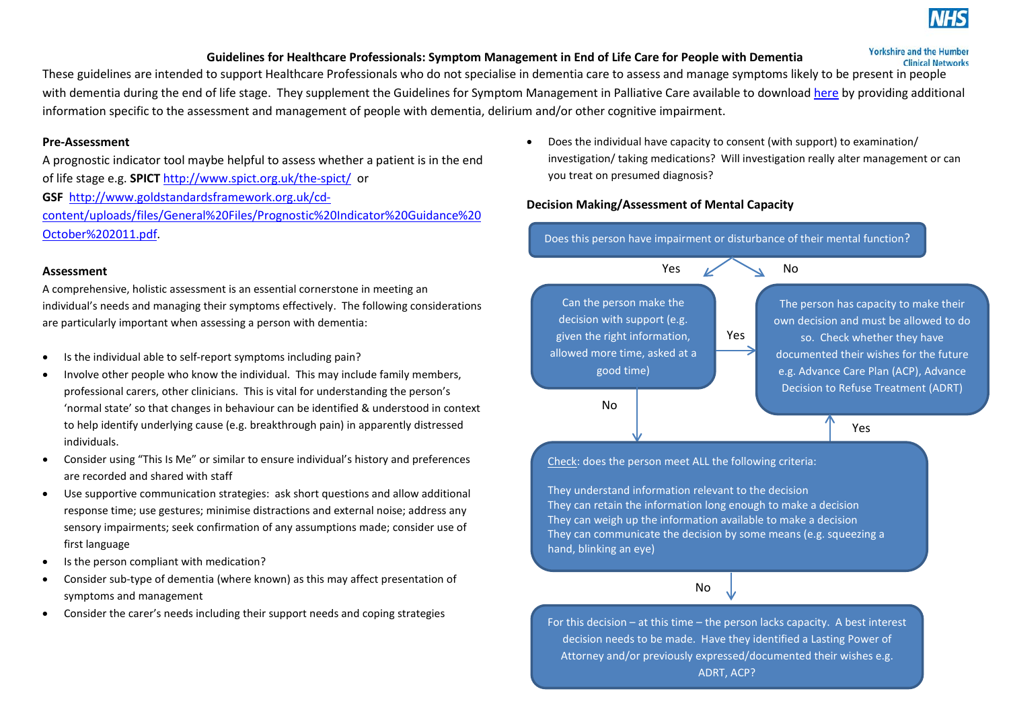

## **Guidelines for Healthcare Professionals: Symptom Management in End of Life Care for People with Dementia**

**Yorkshire and the Humber Clinical Networks** 

These guidelines are intended to support Healthcare Professionals who do not specialise in dementia care to assess and manage symptoms likely to be present in people with dementia during the end of life stage. They supplement the Guidelines for Symptom Management in Palliative Care available to download [here](http://www.yhscn.nhs.uk/media/PDFs/EOL/KEY%20DOCUMENTS/YH%20Palliative%20care%20symptom%20guide%202016%20v2.pdf) by providing additional information specific to the assessment and management of people with dementia, delirium and/or other cognitive impairment.

#### **Pre-Assessment**

A prognostic indicator tool maybe helpful to assess whether a patient is in the end of life stage e.g. **SPICT** <http://www.spict.org.uk/the-spict/> or **GSF** [http://www.goldstandardsframework.org.uk/cd](http://www.goldstandardsframework.org.uk/cd-content/uploads/files/General%20Files/Prognostic%20Indicator%20Guidance%20October%202011.pdf)[content/uploads/files/General%20Files/Prognostic%20Indicator%20Guidance%20](http://www.goldstandardsframework.org.uk/cd-content/uploads/files/General%20Files/Prognostic%20Indicator%20Guidance%20October%202011.pdf)

#### **Assessment**

[October%202011.pdf.](http://www.goldstandardsframework.org.uk/cd-content/uploads/files/General%20Files/Prognostic%20Indicator%20Guidance%20October%202011.pdf)

A comprehensive, holistic assessment is an essential cornerstone in meeting an individual's needs and managing their symptoms effectively. The following considerations are particularly important when assessing a person with dementia:

- Is the individual able to self-report symptoms including pain?
- Involve other people who know the individual. This may include family members, professional carers, other clinicians. This is vital for understanding the person's 'normal state' so that changes in behaviour can be identified & understood in context to help identify underlying cause (e.g. breakthrough pain) in apparently distressed individuals.
- Consider using "This Is Me" or similar to ensure individual's history and preferences are recorded and shared with staff
- Use supportive communication strategies: ask short questions and allow additional response time; use gestures; minimise distractions and external noise; address any sensory impairments; seek confirmation of any assumptions made; consider use of first language
- Is the person compliant with medication?
- Consider sub-type of dementia (where known) as this may affect presentation of symptoms and management
- Consider the carer's needs including their support needs and coping strategies

• Does the individual have capacity to consent (with support) to examination/ investigation/ taking medications? Will investigation really alter management or can you treat on presumed diagnosis?

## **Decision Making/Assessment of Mental Capacity**

Does this person have impairment or disturbance of their mental function?



Check: does the person meet ALL the following criteria:

They understand information relevant to the decision They can retain the information long enough to make a decision They can weigh up the information available to make a decision They can communicate the decision by some means (e.g. squeezing a hand, blinking an eye)



For this decision  $-$  at this time  $-$  the person lacks capacity. A best interest decision needs to be made. Have they identified a Lasting Power of Attorney and/or previously expressed/documented their wishes e.g. ADRT, ACP?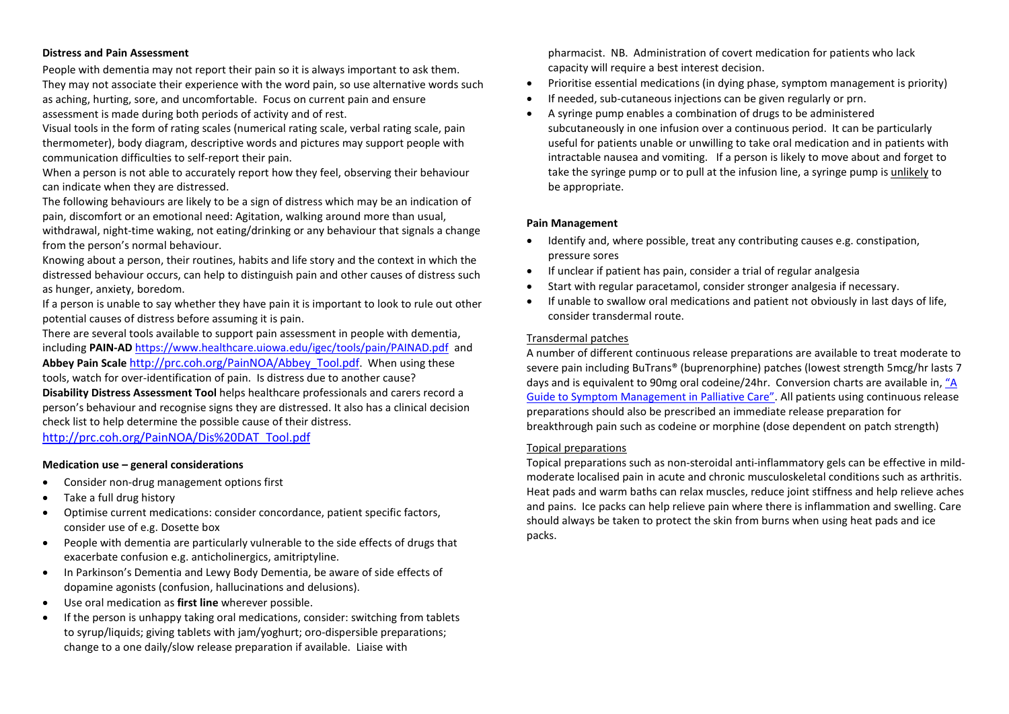#### **Distress and Pain Assessment**

People with dementia may not report their pain so it is always important to ask them. They may not associate their experience with the word pain, so use alternative words such as aching, hurting, sore, and uncomfortable. Focus on current pain and ensure assessment is made during both periods of activity and of rest.

Visual tools in the form of rating scales (numerical rating scale, verbal rating scale, pain thermometer), body diagram, descriptive words and pictures may support people with communication difficulties to self-report their pain.

When a person is not able to accurately report how they feel, observing their behaviour can indicate when they are distressed.

The following behaviours are likely to be a sign of distress which may be an indication of pain, discomfort or an emotional need: Agitation, walking around more than usual,

withdrawal, night-time waking, not eating/drinking or any behaviour that signals a change from the person's normal behaviour.

Knowing about a person, their routines, habits and life story and the context in which the distressed behaviour occurs, can help to distinguish pain and other causes of distress such as hunger, anxiety, boredom.

If a person is unable to say whether they have pain it is important to look to rule out other potential causes of distress before assuming it is pain.

There are several tools available to support pain assessment in people with dementia, including **PAIN-AD** <https://www.healthcare.uiowa.edu/igec/tools/pain/PAINAD.pdf> and **Abbey Pain Scale** [http://prc.coh.org/PainNOA/Abbey\\_Tool.pdf.](http://prc.coh.org/PainNOA/Abbey_Tool.pdf) When using these tools, watch for over-identification of pain. Is distress due to another cause? **Disability Distress Assessment Tool** helps healthcare professionals and carers record a person's behaviour and recognise signs they are distressed. It also has a clinical decision check list to help determine the possible cause of their distress. [http://prc.coh.org/PainNOA/Dis%20DAT\\_Tool.pdf](http://prc.coh.org/PainNOA/Dis%20DAT_Tool.pdf)

#### **Medication use – general considerations**

- Consider non-drug management options first
- Take a full drug history
- Optimise current medications: consider concordance, patient specific factors, consider use of e.g. Dosette box
- People with dementia are particularly vulnerable to the side effects of drugs that exacerbate confusion e.g. anticholinergics, amitriptyline.
- In Parkinson's Dementia and Lewy Body Dementia, be aware of side effects of dopamine agonists (confusion, hallucinations and delusions).
- Use oral medication as **first line** wherever possible.
- If the person is unhappy taking oral medications, consider: switching from tablets to syrup/liquids; giving tablets with jam/yoghurt; oro-dispersible preparations; change to a one daily/slow release preparation if available. Liaise with

pharmacist. NB. Administration of covert medication for patients who lack capacity will require a best interest decision.

- Prioritise essential medications (in dying phase, symptom management is priority)
- If needed, sub-cutaneous injections can be given regularly or prn.
- A syringe pump enables a combination of drugs to be administered subcutaneously in one infusion over a continuous period. It can be particularly useful for patients unable or unwilling to take oral medication and in patients with intractable nausea and vomiting. If a person is likely to move about and forget to take the syringe pump or to pull at the infusion line, a syringe pump is unlikely to be appropriate.

#### **Pain Management**

- Identify and, where possible, treat any contributing causes e.g. constipation, pressure sores
- If unclear if patient has pain, consider a trial of regular analgesia
- Start with regular paracetamol, consider stronger analgesia if necessary.
- If unable to swallow oral medications and patient not obviously in last days of life, consider transdermal route.

#### Transdermal patches

A number of different continuous release preparations are available to treat moderate to severe pain including BuTrans® (buprenorphine) patches (lowest strength 5mcg/hr lasts 7 days and is equivalent to 90mg oral codeine/24hr. Conversion charts are available in, ["A](http://www.yhscn.nhs.uk/media/PDFs/EOL/KEY%20DOCUMENTS/YH%20Palliative%20care%20symptom%20guide%202016%20v2.pdf)  [Guide to Symptom Management in Palliative Care".](http://www.yhscn.nhs.uk/media/PDFs/EOL/KEY%20DOCUMENTS/YH%20Palliative%20care%20symptom%20guide%202016%20v2.pdf) All patients using continuous release preparations should also be prescribed an immediate release preparation for breakthrough pain such as codeine or morphine (dose dependent on patch strength)

#### Topical preparations

Topical preparations such as non-steroidal anti-inflammatory gels can be effective in mildmoderate localised pain in acute and chronic musculoskeletal conditions such as arthritis. Heat pads and warm baths can relax muscles, reduce joint stiffness and help relieve aches and pains. Ice packs can help relieve pain where there is inflammation and swelling. Care should always be taken to protect the skin from burns when using heat pads and ice packs.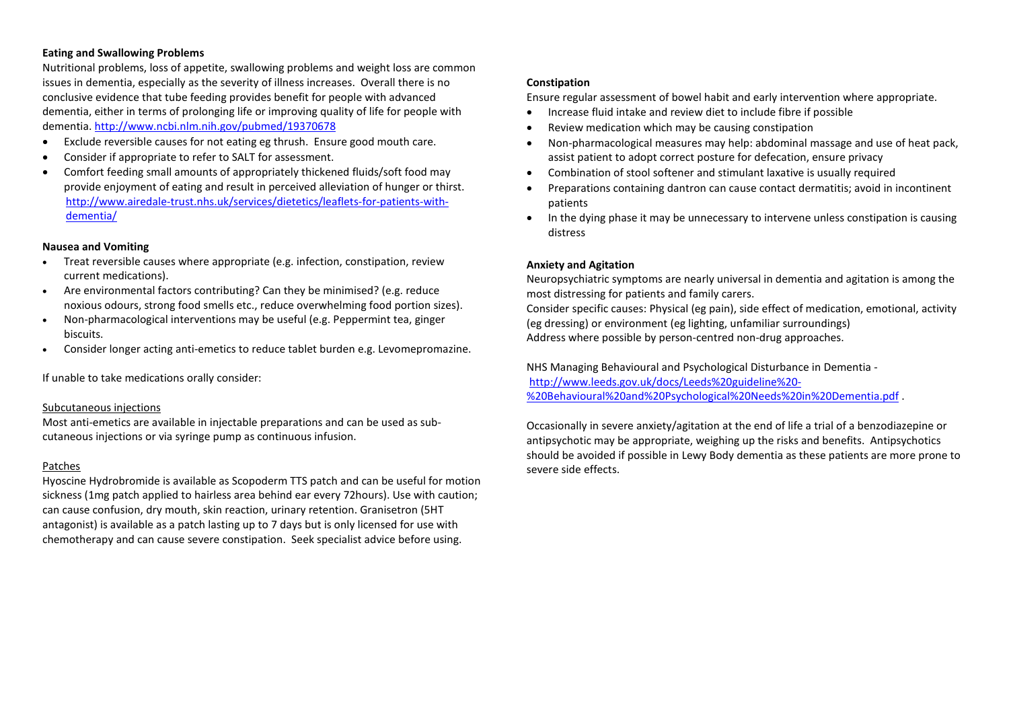## **Eating and Swallowing Problems**

Nutritional problems, loss of appetite, swallowing problems and weight loss are common issues in dementia, especially as the severity of illness increases. Overall there is no conclusive evidence that tube feeding provides benefit for people with advanced dementia, either in terms of prolonging life or improving quality of life for people with dementia. <http://www.ncbi.nlm.nih.gov/pubmed/19370678>

- Exclude reversible causes for not eating eg thrush. Ensure good mouth care.
- Consider if appropriate to refer to SALT for assessment.
- Comfort feeding small amounts of appropriately thickened fluids/soft food may provide enjoyment of eating and result in perceived alleviation of hunger or thirst. [http://www.airedale-trust.nhs.uk/services/dietetics/leaflets-for-patients-with](http://www.airedale-trust.nhs.uk/services/dietetics/leaflets-for-patients-with-dementia/)[dementia/](http://www.airedale-trust.nhs.uk/services/dietetics/leaflets-for-patients-with-dementia/)

## **Nausea and Vomiting**

- Treat reversible causes where appropriate (e.g. infection, constipation, review current medications).
- Are environmental factors contributing? Can they be minimised? (e.g. reduce noxious odours, strong food smells etc., reduce overwhelming food portion sizes).
- Non-pharmacological interventions may be useful (e.g. Peppermint tea, ginger biscuits.
- Consider longer acting anti-emetics to reduce tablet burden e.g. Levomepromazine.

If unable to take medications orally consider:

#### Subcutaneous injections

Most anti-emetics are available in injectable preparations and can be used as subcutaneous injections or via syringe pump as continuous infusion.

#### Patches

Hyoscine Hydrobromide is available as Scopoderm TTS patch and can be useful for motion sickness (1mg patch applied to hairless area behind ear every 72hours). Use with caution; can cause confusion, dry mouth, skin reaction, urinary retention. Granisetron (5HT antagonist) is available as a patch lasting up to 7 days but is only licensed for use with chemotherapy and can cause severe constipation. Seek specialist advice before using.

## **Constipation**

Ensure regular assessment of bowel habit and early intervention where appropriate.

- Increase fluid intake and review diet to include fibre if possible
- Review medication which may be causing constipation
- Non-pharmacological measures may help: abdominal massage and use of heat pack, assist patient to adopt correct posture for defecation, ensure privacy
- Combination of stool softener and stimulant laxative is usually required
- Preparations containing dantron can cause contact dermatitis; avoid in incontinent patients
- In the dying phase it may be unnecessary to intervene unless constipation is causing distress

## **Anxiety and Agitation**

Neuropsychiatric symptoms are nearly universal in dementia and agitation is among the most distressing for patients and family carers.

Consider specific causes: Physical (eg pain), side effect of medication, emotional, activity (eg dressing) or environment (eg lighting, unfamiliar surroundings) Address where possible by person-centred non-drug approaches.

NHS Managing Behavioural and Psychological Disturbance in Dementia [http://www.leeds.gov.uk/docs/Leeds%20guideline%20-](http://www.leeds.gov.uk/docs/Leeds%20guideline%20-%20Behavioural%20and%20Psychological%20Needs%20in%20Dementia.pdf) [%20Behavioural%20and%20Psychological%20Needs%20in%20Dementia.pdf](http://www.leeds.gov.uk/docs/Leeds%20guideline%20-%20Behavioural%20and%20Psychological%20Needs%20in%20Dementia.pdf) .

Occasionally in severe anxiety/agitation at the end of life a trial of a benzodiazepine or antipsychotic may be appropriate, weighing up the risks and benefits. Antipsychotics should be avoided if possible in Lewy Body dementia as these patients are more prone to severe side effects.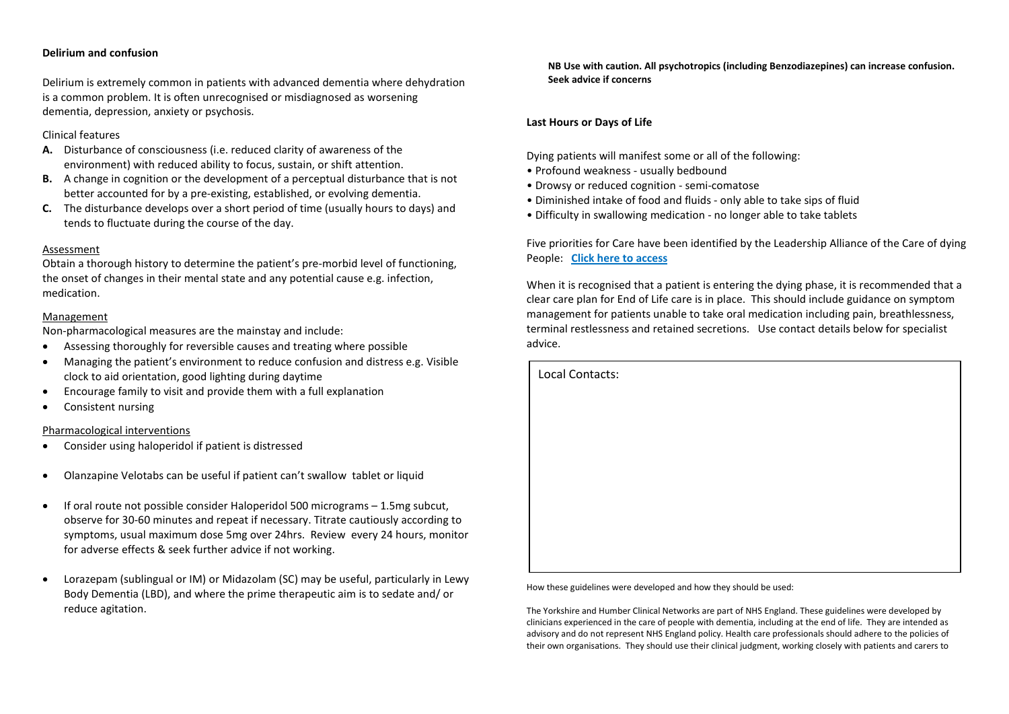## **Delirium and confusion**

Delirium is extremely common in patients with advanced dementia where dehydration is a common problem. It is often unrecognised or misdiagnosed as worsening dementia, depression, anxiety or psychosis.

## Clinical features

- **A.** Disturbance of consciousness (i.e. reduced clarity of awareness of the environment) with reduced ability to focus, sustain, or shift attention.
- **B.** A change in cognition or the development of a perceptual disturbance that is not better accounted for by a pre-existing, established, or evolving dementia.
- **C.** The disturbance develops over a short period of time (usually hours to days) and tends to fluctuate during the course of the day.

## Assessment

Obtain a thorough history to determine the patient's pre-morbid level of functioning, the onset of changes in their mental state and any potential cause e.g. infection, medication.

## Management

Non-pharmacological measures are the mainstay and include:

- Assessing thoroughly for reversible causes and treating where possible
- Managing the patient's environment to reduce confusion and distress e.g. Visible clock to aid orientation, good lighting during daytime
- Encourage family to visit and provide them with a full explanation
- Consistent nursing

## Pharmacological interventions

- Consider using haloperidol if patient is distressed
- Olanzapine Velotabs can be useful if patient can't swallow tablet or liquid
- If oral route not possible consider Haloperidol 500 micrograms 1.5mg subcut, observe for 30-60 minutes and repeat if necessary. Titrate cautiously according to symptoms, usual maximum dose 5mg over 24hrs. Review every 24 hours, monitor for adverse effects & seek further advice if not working.
- Lorazepam (sublingual or IM) or Midazolam (SC) may be useful, particularly in Lewy Body Dementia (LBD), and where the prime therapeutic aim is to sedate and/ or reduce agitation.

**NB Use with caution. All psychotropics (including Benzodiazepines) can increase confusion. Seek advice if concerns**

## **Last Hours or Days of Life**

Dying patients will manifest some or all of the following:

- Profound weakness usually bedbound
- Drowsy or reduced cognition semi-comatose
- Diminished intake of food and fluids only able to take sips of fluid
- Difficulty in swallowing medication no longer able to take tablets

Five priorities for Care have been identified by the Leadership Alliance of the Care of dying People: **[Click here to access](http://www.nhsiq.nhs.uk/media/2485900/duties_and_responsibilities_of_health_and_care_staff_-_with_prompts_for_practice.pdf)**

When it is recognised that a patient is entering the dying phase, it is recommended that a clear care plan for End of Life care is in place. This should include guidance on symptom management for patients unable to take oral medication including pain, breathlessness, terminal restlessness and retained secretions. Use contact details below for specialist advice.

| Local Contacts: |  |  |
|-----------------|--|--|
|                 |  |  |
|                 |  |  |
|                 |  |  |
|                 |  |  |
|                 |  |  |
|                 |  |  |
|                 |  |  |

How these guidelines were developed and how they should be used:

The Yorkshire and Humber Clinical Networks are part of NHS England. These guidelines were developed by clinicians experienced in the care of people with dementia, including at the end of life. They are intended as advisory and do not represent NHS England policy. Health care professionals should adhere to the policies of their own organisations. They should use their clinical judgment, working closely with patients and carers to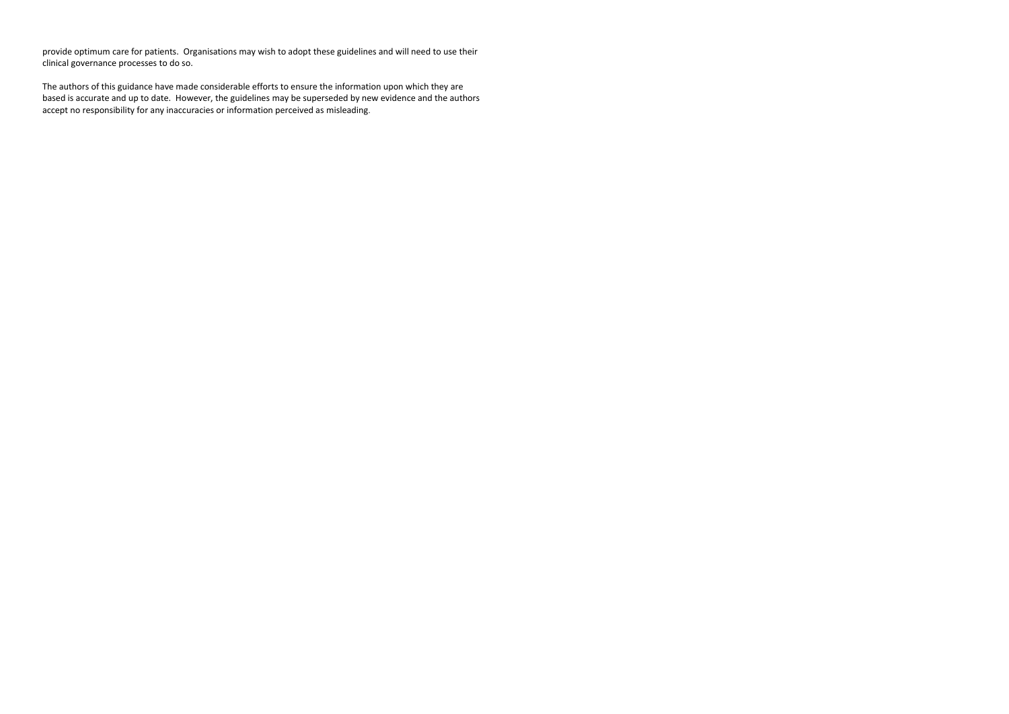provide optimum care for patients. Organisations may wish to adopt these guidelines and will need to use their clinical governance processes to do so.

The authors of this guidance have made considerable efforts to ensure the information upon which they are based is accurate and up to date. However, the guidelines may be superseded by new evidence and the authors accept no responsibility for any inaccuracies or information perceived as misleading.